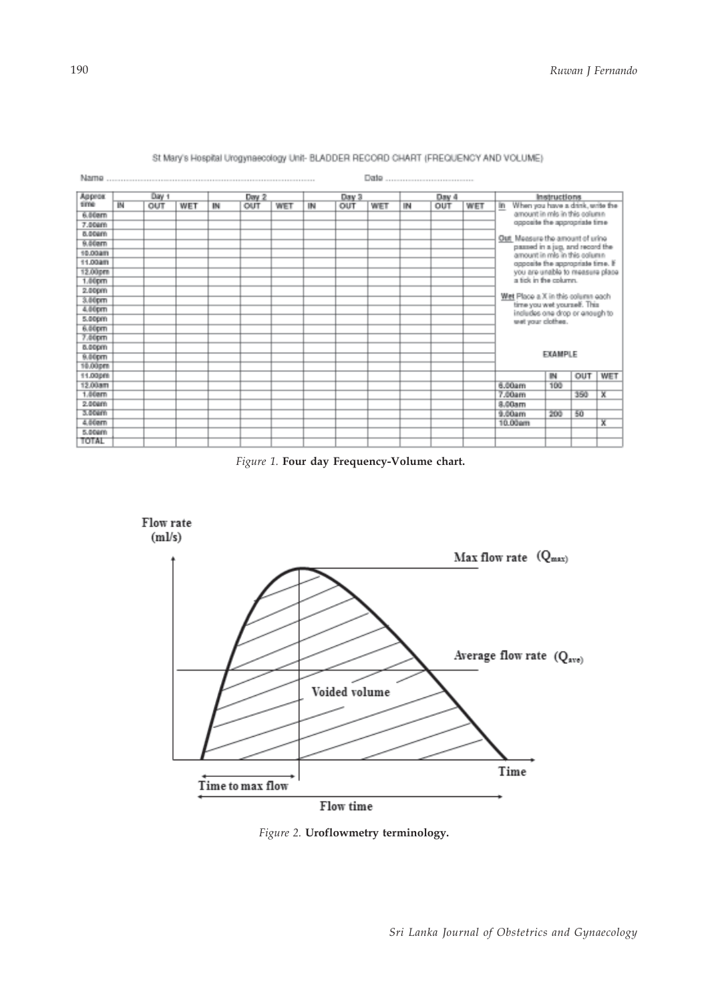

## St Mary's Hospital Urogynaecology Unit- BLADDER RECORD CHART (FREQUENCY AND VOLUME)

*Figure 1.* **Four day Frequency-Volume chart.**



*Figure 2.* **Uroflowmetry terminology.**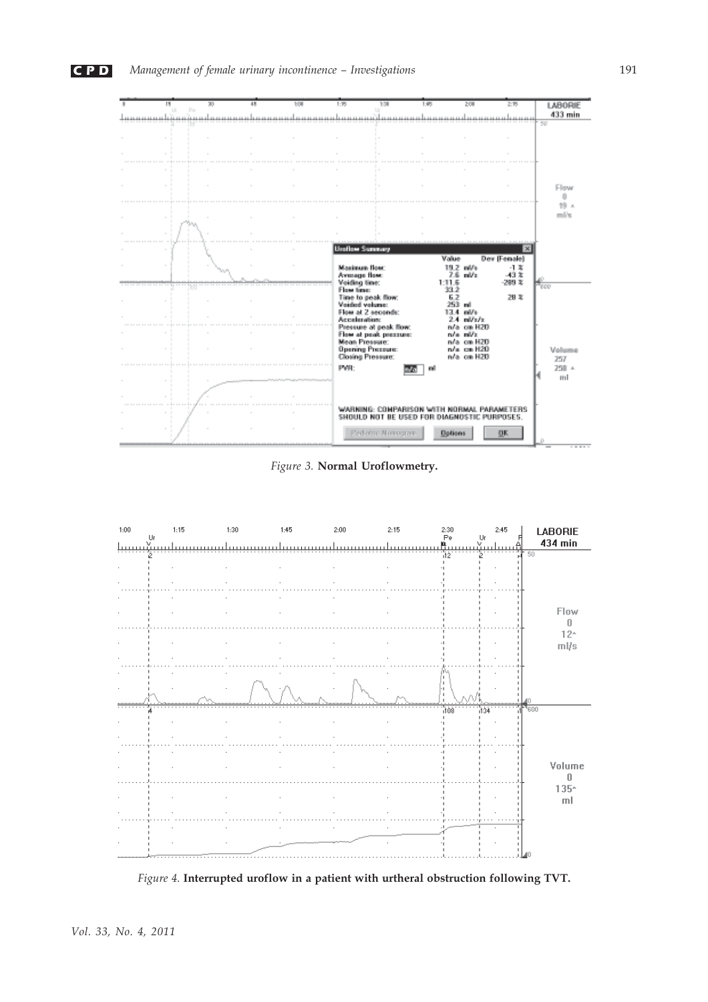

*Figure 3.* **Normal Uroflowmetry.**



*Figure 4.* **Interrupted uroflow in a patient with urtheral obstruction following TVT.**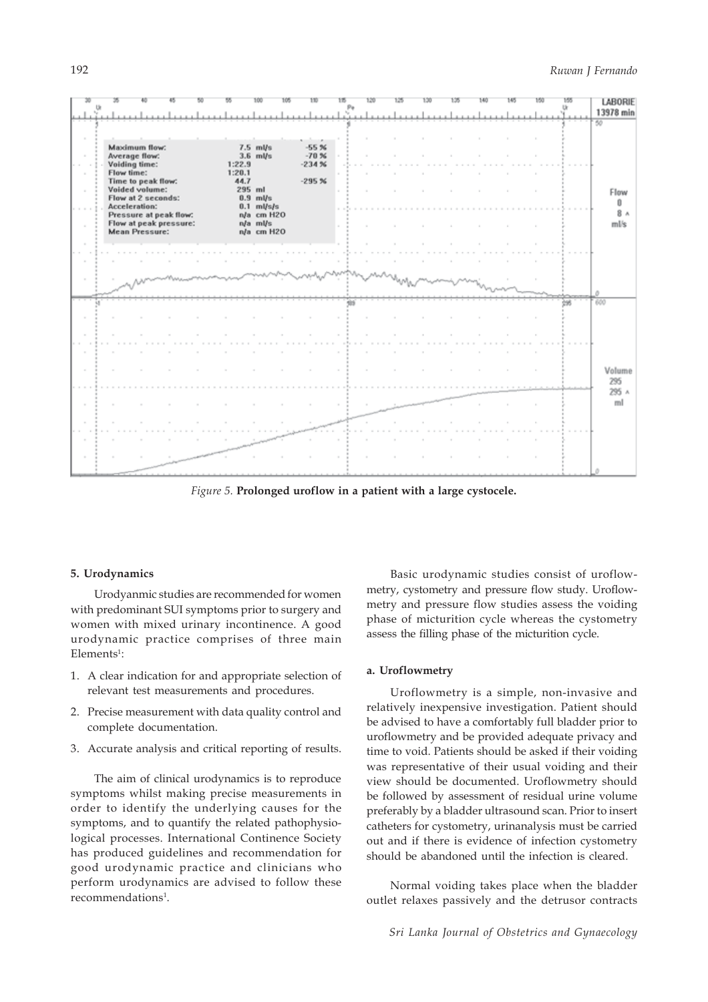

*Figure 5.* **Prolonged uroflow in a patient with a large cystocele.**

## **5. Urodynamics**

Urodyanmic studies are recommended for women with predominant SUI symptoms prior to surgery and women with mixed urinary incontinence. A good urodynamic practice comprises of three main  $E$ lements<sup>1</sup>:

- 1. A clear indication for and appropriate selection of relevant test measurements and procedures.
- 2. Precise measurement with data quality control and complete documentation.
- 3. Accurate analysis and critical reporting of results.

The aim of clinical urodynamics is to reproduce symptoms whilst making precise measurements in order to identify the underlying causes for the symptoms, and to quantify the related pathophysiological processes. International Continence Society has produced guidelines and recommendation for good urodynamic practice and clinicians who perform urodynamics are advised to follow these recommendations<sup>1</sup>.

Basic urodynamic studies consist of uroflowmetry, cystometry and pressure flow study. Uroflowmetry and pressure flow studies assess the voiding phase of micturition cycle whereas the cystometry assess the filling phase of the micturition cycle.

## **a. Uroflowmetry**

Uroflowmetry is a simple, non-invasive and relatively inexpensive investigation. Patient should be advised to have a comfortably full bladder prior to uroflowmetry and be provided adequate privacy and time to void. Patients should be asked if their voiding was representative of their usual voiding and their view should be documented. Uroflowmetry should be followed by assessment of residual urine volume preferably by a bladder ultrasound scan. Prior to insert catheters for cystometry, urinanalysis must be carried out and if there is evidence of infection cystometry should be abandoned until the infection is cleared.

Normal voiding takes place when the bladder outlet relaxes passively and the detrusor contracts

*Sri Lanka Journal of Obstetrics and Gynaecology*